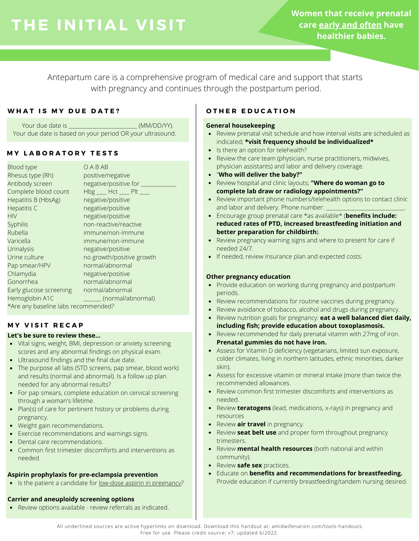**Women that receive prenatal care early and often have healthier babies.**

Antepartum care is a comprehensive program of medical care and support that starts with pregnancy and continues through the postpartum period.

# WHAT IS MY DUE DATE? | OTHER EDUCATION

Your due date is **Container and Separate in the Container of the General housekeeping** Your due date is based on your period OR your ultrasound.

# **M Y L A B O R A T O R Y T E S T S**

| <b>Blood type</b>                   | OABAB                     |  |  |
|-------------------------------------|---------------------------|--|--|
| Rhesus type (Rh)                    | positive/negative         |  |  |
| Antibody screen                     | negative/positive for _   |  |  |
| Complete blood count                | $Hbg$ ___ Hct ___ Plt ___ |  |  |
| Hepatitis B (HbsAg)                 | negative/positive         |  |  |
| <b>Hepatitis C</b>                  | negative/positive         |  |  |
| <b>HIV</b>                          | negative/positive         |  |  |
| Syphilis                            | non-reactive/reactive     |  |  |
| Rubella                             | immune/non-immune         |  |  |
| Varicella                           | immune/non-immune         |  |  |
| Urinalysis                          | negative/positive         |  |  |
| Urine culture                       | no growth/positive growth |  |  |
| Pap smear/HPV                       | normal/abnormal           |  |  |
| Chlamydia                           | negative/positive         |  |  |
| Gonorrhea                           | normal/abnormal           |  |  |
| Early glucose screening             | normal/abnormal           |  |  |
| Hemoglobin A1C                      | (normal/abnormal)         |  |  |
| *Are any baseline labs recommended? |                           |  |  |

# **M Y V I S I T R E C A P**

# **Let's be sure to review these...**

- Vital signs, weight, BMI, depression or anxiety screening scores and any abnormal findings on physical exam.
- Ultrasound findings and the final due date.
- The purpose all labs (STD screens, pap smear, blood work) and results (normal and abnormal). Is a follow up plan needed for any abnormal results?
- For pap smears, complete education on cervical screening through a woman's lifetime.
- Plan(s) of care for pertinent history or problems during pregnancy.
- Weight gain recommendations.
- Exercise recommendations and warnings signs.
- Dental care recommendations.
- Common first trimester discomforts and interventions as needed.

# **Aspirin prophylaxis for pre-eclampsia prevention**

Is the patient a candidate for <u>low-dose aspirin in pregnancy</u>?

# **Carrier and aneuploidy screening options**

Review options available - review referrals as indicated.

- Review prenatal visit schedule and how interval visits are scheduled as indicated; **\*visit frequency should be individualized\***
- Is there an option for telehealth?
- Review the care team (physician, nurse practitioners, midwives, physician assistants) and labor and delivery coverage.
- "**Who will deliver the baby?"**
- Review hospital and clinic layouts; **"Where do woman go to complete lab draw or radiology appointments?"**
- Review important phone numbers/telehealth options to contact clinic and labor and delivery. Phone number:
- Encourage group prenatal care \*as available\* (**benefits include: reduced rates of PTD, increased breastfeeding initiation and better preparation for childbirth**).
- Review pregnancy warning signs and where to present for care if needed 24/7.
- If needed, review insurance plan and expected costs.

# **Other pregnancy education**

- Provide education on working during pregnancy and postpartum periods.
- Review recommendations for routine vaccines during pregnancy.
- Review avoidance of tobacco, alcohol and drugs during pregnancy.
- Review nutrition goals for pregnancy: **eat a well balanced diet daily, including fish; provide education about toxoplasmosis.**
- Review recommended for daily prenatal vitamin with 27mg of iron. **Prenatal gummies do not have iron.**
- Assess for Vitamin D deficiency (vegetarians, limited sun exposure, colder climates, living in northern latitudes, ethnic minorities, darker skin).
- Assess for excessive vitamin or mineral intake (more than twice the recommended allowances.
- Review common first trimester discomforts and interventions as needed.
- Review **teratogens** (lead, medications, x-rays) in pregnancy and resources
- Review **air travel** in pregnancy.
- Review **seat belt use** and proper form throughout pregnancy trimesters.
- Review **mental health resources** (both national and within community).
- Review **safe sex** practices.
- Educate on **benefits and recommendations for breastfeeding.** Provide education if currently breastfeeding/tandem nursing desired.